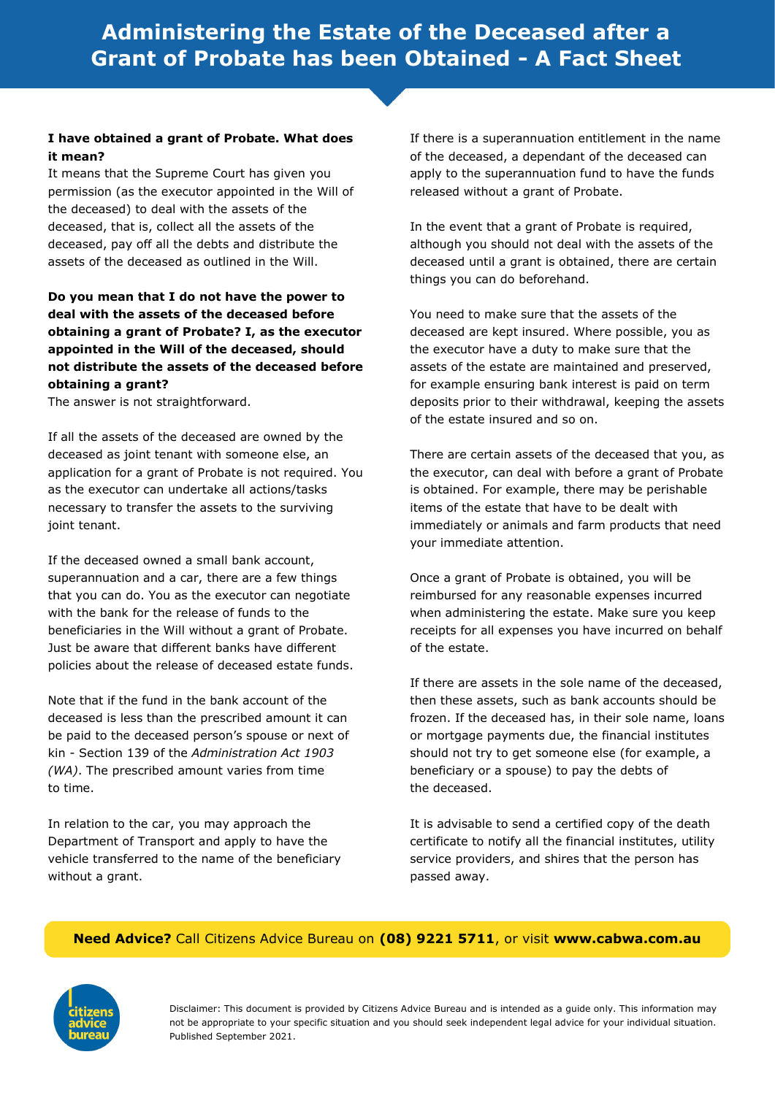# **I have obtained a grant of Probate. What does it mean?**

It means that the Supreme Court has given you permission (as the executor appointed in the Will of the deceased) to deal with the assets of the deceased, that is, collect all the assets of the deceased, pay off all the debts and distribute the assets of the deceased as outlined in the Will.

# **Do you mean that I do not have the power to deal with the assets of the deceased before obtaining a grant of Probate? I, as the executor appointed in the Will of the deceased, should not distribute the assets of the deceased before obtaining a grant?**

The answer is not straightforward.

If all the assets of the deceased are owned by the deceased as joint tenant with someone else, an application for a grant of Probate is not required. You as the executor can undertake all actions/tasks necessary to transfer the assets to the surviving joint tenant.

If the deceased owned a small bank account, superannuation and a car, there are a few things that you can do. You as the executor can negotiate with the bank for the release of funds to the beneficiaries in the Will without a grant of Probate. Just be aware that different banks have different policies about the release of deceased estate funds.

Note that if the fund in the bank account of the deceased is less than the prescribed amount it can be paid to the deceased person's spouse or next of kin - Section 139 of the *Administration Act 1903 (WA)*. The prescribed amount varies from time to time.

In relation to the car, you may approach the Department of Transport and apply to have the vehicle transferred to the name of the beneficiary without a grant.

If there is a superannuation entitlement in the name of the deceased, a dependant of the deceased can apply to the superannuation fund to have the funds released without a grant of Probate.

In the event that a grant of Probate is required, although you should not deal with the assets of the deceased until a grant is obtained, there are certain things you can do beforehand.

You need to make sure that the assets of the deceased are kept insured. Where possible, you as the executor have a duty to make sure that the assets of the estate are maintained and preserved, for example ensuring bank interest is paid on term deposits prior to their withdrawal, keeping the assets of the estate insured and so on.

There are certain assets of the deceased that you, as the executor, can deal with before a grant of Probate is obtained. For example, there may be perishable items of the estate that have to be dealt with immediately or animals and farm products that need your immediate attention.

Once a grant of Probate is obtained, you will be reimbursed for any reasonable expenses incurred when administering the estate. Make sure you keep receipts for all expenses you have incurred on behalf of the estate.

If there are assets in the sole name of the deceased, then these assets, such as bank accounts should be frozen. If the deceased has, in their sole name, loans or mortgage payments due, the financial institutes should not try to get someone else (for example, a beneficiary or a spouse) to pay the debts of the deceased.

It is advisable to send a certified copy of the death certificate to notify all the financial institutes, utility service providers, and shires that the person has passed away.

# **Need Advice?** Call Citizens Advice Bureau on **(08) 9221 5711**, or visit **www.cabwa.com.au**

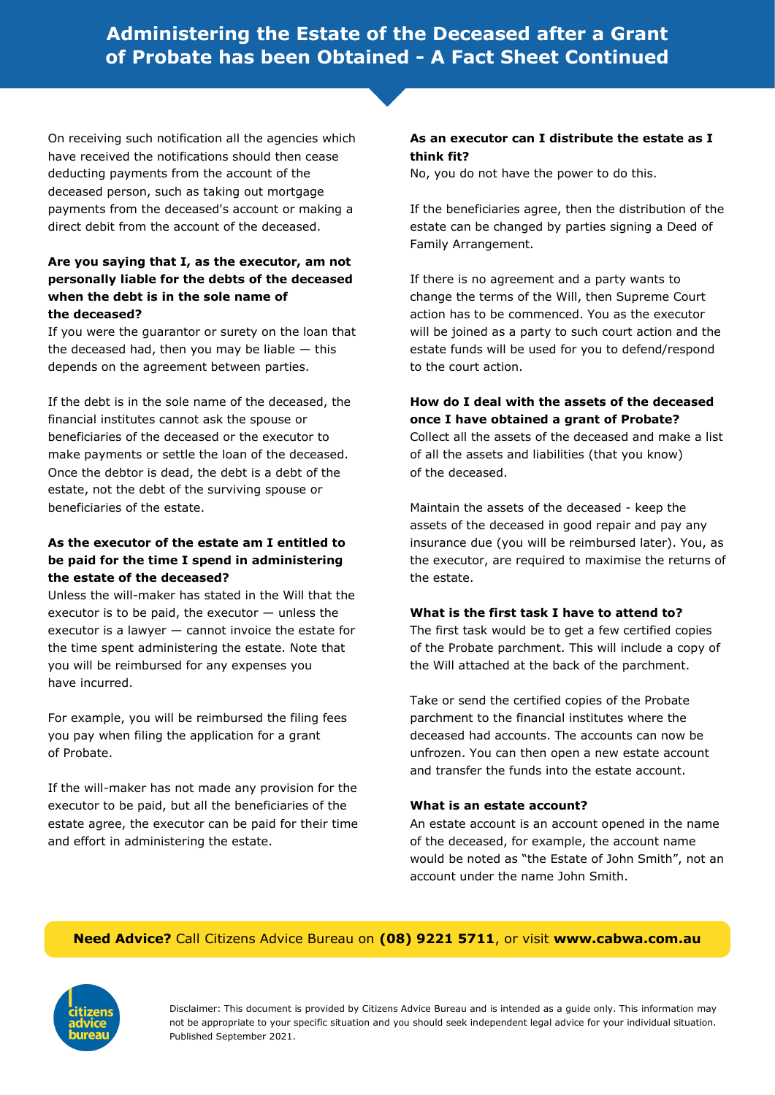# **Administering the Estate of the Deceased after a Grant of Probate has been Obtained - A Fact Sheet Continued**

On receiving such notification all the agencies which have received the notifications should then cease deducting payments from the account of the deceased person, such as taking out mortgage payments from the deceased's account or making a direct debit from the account of the deceased.

# **Are you saying that I, as the executor, am not personally liable for the debts of the deceased when the debt is in the sole name of the deceased?**

If you were the guarantor or surety on the loan that the deceased had, then you may be liable  $-$  this depends on the agreement between parties.

If the debt is in the sole name of the deceased, the financial institutes cannot ask the spouse or beneficiaries of the deceased or the executor to make payments or settle the loan of the deceased. Once the debtor is dead, the debt is a debt of the estate, not the debt of the surviving spouse or beneficiaries of the estate.

# **As the executor of the estate am I entitled to be paid for the time I spend in administering the estate of the deceased?**

Unless the will-maker has stated in the Will that the executor is to be paid, the executor — unless the executor is a lawyer — cannot invoice the estate for the time spent administering the estate. Note that you will be reimbursed for any expenses you have incurred.

For example, you will be reimbursed the filing fees you pay when filing the application for a grant of Probate.

If the will-maker has not made any provision for the executor to be paid, but all the beneficiaries of the estate agree, the executor can be paid for their time and effort in administering the estate.

### **As an executor can I distribute the estate as I think fit?**

No, you do not have the power to do this.

If the beneficiaries agree, then the distribution of the estate can be changed by parties signing a Deed of Family Arrangement.

If there is no agreement and a party wants to change the terms of the Will, then Supreme Court action has to be commenced. You as the executor will be joined as a party to such court action and the estate funds will be used for you to defend/respond to the court action.

# **How do I deal with the assets of the deceased once I have obtained a grant of Probate?**

Collect all the assets of the deceased and make a list of all the assets and liabilities (that you know) of the deceased.

Maintain the assets of the deceased - keep the assets of the deceased in good repair and pay any insurance due (you will be reimbursed later). You, as the executor, are required to maximise the returns of the estate.

#### **What is the first task I have to attend to?**

The first task would be to get a few certified copies of the Probate parchment. This will include a copy of the Will attached at the back of the parchment.

Take or send the certified copies of the Probate parchment to the financial institutes where the deceased had accounts. The accounts can now be unfrozen. You can then open a new estate account and transfer the funds into the estate account.

#### **What is an estate account?**

An estate account is an account opened in the name of the deceased, for example, the account name would be noted as "the Estate of John Smith", not an account under the name John Smith.

# **Need Advice?** Call Citizens Advice Bureau on **(08) 9221 5711**, or visit **www.cabwa.com.au**

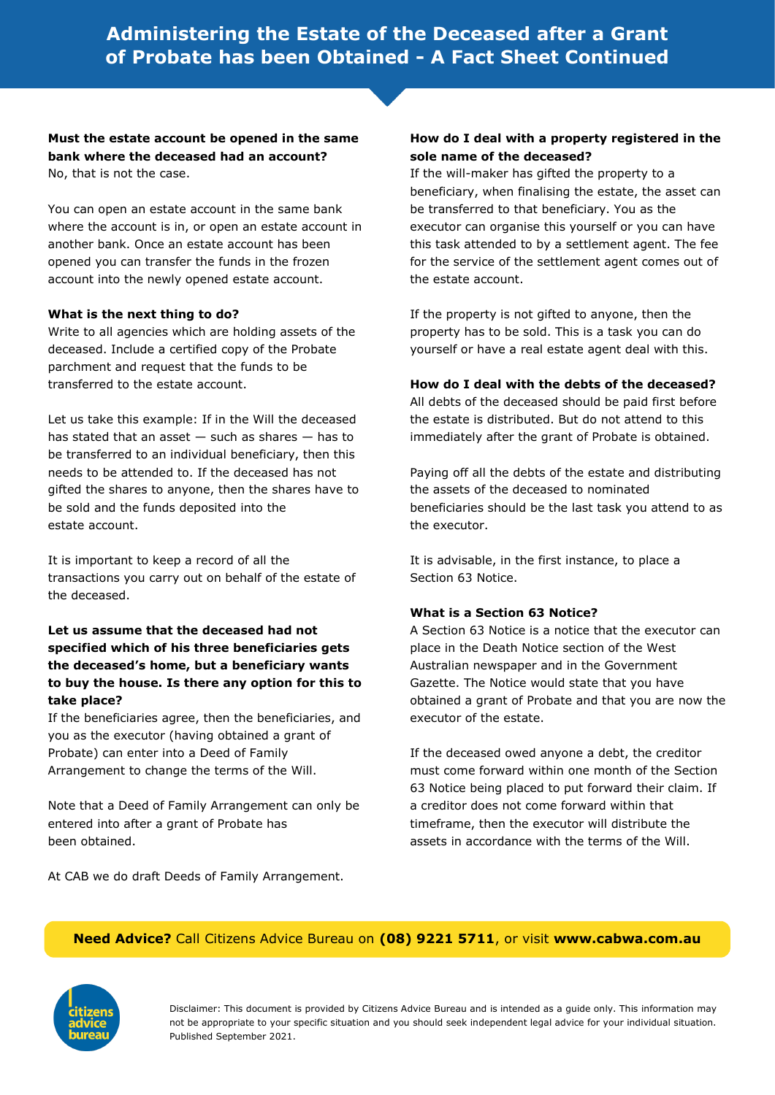**Must the estate account be opened in the same bank where the deceased had an account?** No, that is not the case.

You can open an estate account in the same bank where the account is in, or open an estate account in another bank. Once an estate account has been opened you can transfer the funds in the frozen account into the newly opened estate account.

#### **What is the next thing to do?**

Write to all agencies which are holding assets of the deceased. Include a certified copy of the Probate parchment and request that the funds to be transferred to the estate account.

Let us take this example: If in the Will the deceased has stated that an asset  $-$  such as shares  $-$  has to be transferred to an individual beneficiary, then this needs to be attended to. If the deceased has not gifted the shares to anyone, then the shares have to be sold and the funds deposited into the estate account.

It is important to keep a record of all the transactions you carry out on behalf of the estate of the deceased.

## **Let us assume that the deceased had not specified which of his three beneficiaries gets the deceased's home, but a beneficiary wants to buy the house. Is there any option for this to take place?**

If the beneficiaries agree, then the beneficiaries, and you as the executor (having obtained a grant of Probate) can enter into a Deed of Family Arrangement to change the terms of the Will.

Note that a Deed of Family Arrangement can only be entered into after a grant of Probate has been obtained.

At CAB we do draft Deeds of Family Arrangement.

#### **How do I deal with a property registered in the sole name of the deceased?**

If the will-maker has gifted the property to a beneficiary, when finalising the estate, the asset can be transferred to that beneficiary. You as the executor can organise this yourself or you can have this task attended to by a settlement agent. The fee for the service of the settlement agent comes out of the estate account.

If the property is not gifted to anyone, then the property has to be sold. This is a task you can do yourself or have a real estate agent deal with this.

#### **How do I deal with the debts of the deceased?**

All debts of the deceased should be paid first before the estate is distributed. But do not attend to this immediately after the grant of Probate is obtained.

Paying off all the debts of the estate and distributing the assets of the deceased to nominated beneficiaries should be the last task you attend to as the executor.

It is advisable, in the first instance, to place a Section 63 Notice.

#### **What is a Section 63 Notice?**

A Section 63 Notice is a notice that the executor can place in the Death Notice section of the West Australian newspaper and in the Government Gazette. The Notice would state that you have obtained a grant of Probate and that you are now the executor of the estate.

If the deceased owed anyone a debt, the creditor must come forward within one month of the Section 63 Notice being placed to put forward their claim. If a creditor does not come forward within that timeframe, then the executor will distribute the assets in accordance with the terms of the Will.

#### **Need Advice?** Call Citizens Advice Bureau on **(08) 9221 5711**, or visit **www.cabwa.com.au**